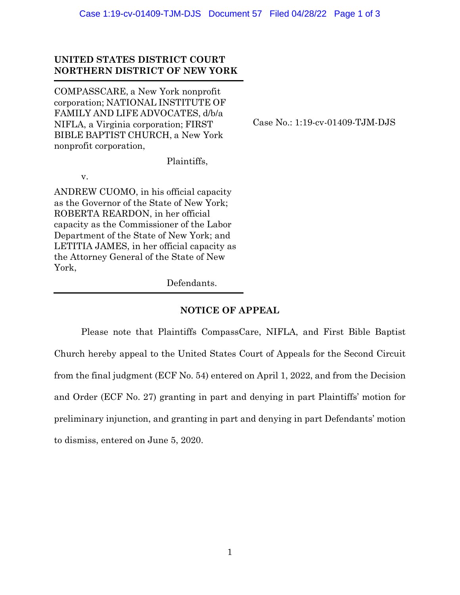## **UNITED STATES DISTRICT COURT NORTHERN DISTRICT OF NEW YORK**

COMPASSCARE, a New York nonprofit corporation; NATIONAL INSTITUTE OF FAMILY AND LIFE ADVOCATES, d/b/a NIFLA, a Virginia corporation; FIRST BIBLE BAPTIST CHURCH, a New York nonprofit corporation,

Case No.: 1:19-cv-01409-TJM-DJS

Plaintiffs,

v.

ANDREW CUOMO, in his official capacity as the Governor of the State of New York; ROBERTA REARDON, in her official capacity as the Commissioner of the Labor Department of the State of New York; and LETITIA JAMES, in her official capacity as the Attorney General of the State of New York,

Defendants.

## **NOTICE OF APPEAL**

Please note that Plaintiffs CompassCare, NIFLA, and First Bible Baptist Church hereby appeal to the United States Court of Appeals for the Second Circuit from the final judgment (ECF No. 54) entered on April 1, 2022, and from the Decision and Order (ECF No. 27) granting in part and denying in part Plaintiffs' motion for preliminary injunction, and granting in part and denying in part Defendants' motion to dismiss, entered on June 5, 2020.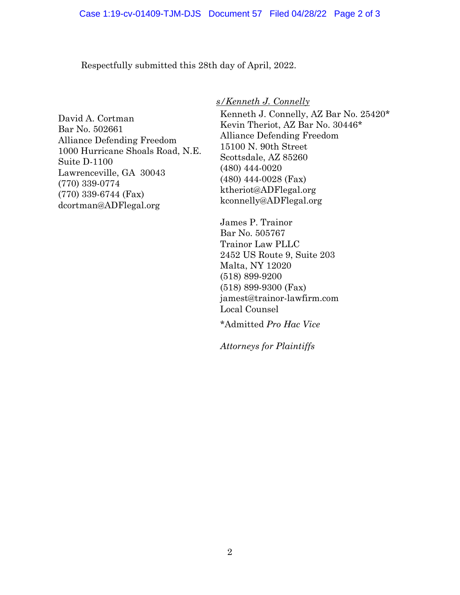Respectfully submitted this 28th day of April, 2022.

David A. Cortman Bar No. 502661 Alliance Defending Freedom 1000 Hurricane Shoals Road, N.E. Suite D-1100 Lawrenceville, GA 30043 (770) 339-0774 (770) 339-6744 (Fax) dcortman@ADFlegal.org

*s/Kenneth J. Connelly*

Kenneth J. Connelly, AZ Bar No. 25420\* Kevin Theriot, AZ Bar No. 30446\* Alliance Defending Freedom 15100 N. 90th Street Scottsdale, AZ 85260 (480) 444-0020 (480) 444-0028 (Fax) ktheriot@ADFlegal.org kconnelly@ADFlegal.org

James P. Trainor Bar No. 505767 Trainor Law PLLC 2452 US Route 9, Suite 203 Malta, NY 12020 (518) 899-9200 (518) 899-9300 (Fax) jamest@trainor-lawfirm.com Local Counsel

\*Admitted *Pro Hac Vice*

*Attorneys for Plaintiffs*